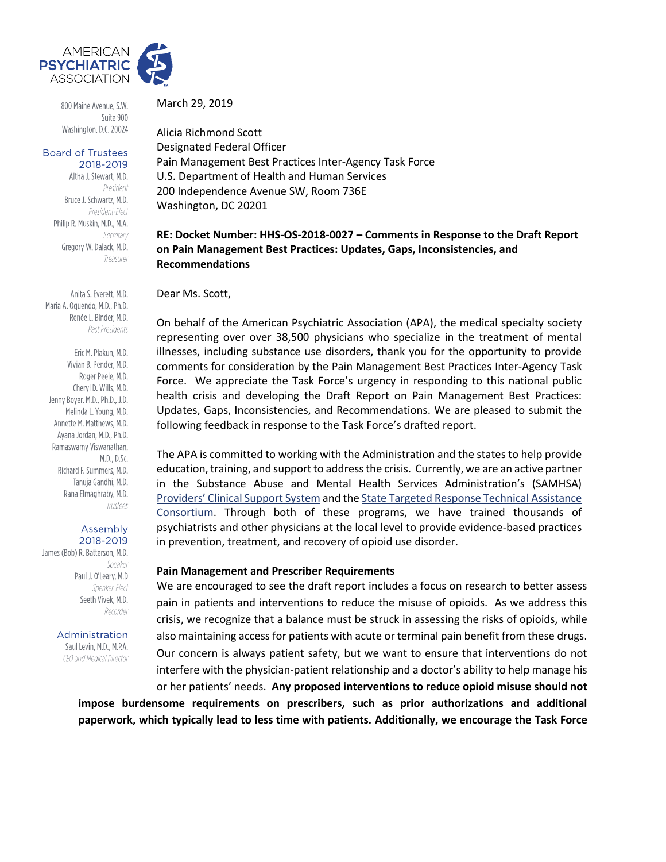

800 Maine Avenue, S.W. Suite 900 Washington, D.C. 20024

#### **Board of Trustees** 2018-2019

Altha J. Stewart, M.D. President Bruce J. Schwartz, M.D. President-Elect Philip R. Muskin, M.D., M.A. Secretary Gregory W. Dalack, M.D. Treasurer

Anita S. Everett, M.D. Maria A. Oquendo, M.D., Ph.D. Renée L. Binder, M.D. Past Presidents

Eric M. Plakun, M.D. Vivian B. Pender, M.D. Roger Peele, M.D. Cheryl D. Wills, M.D. Jenny Boyer, M.D., Ph.D., J.D. Melinda L. Young, M.D. Annette M. Matthews, M.D. Ayana Jordan, M.D., Ph.D. Ramaswamy Viswanathan, M.D., D.Sc. Richard F. Summers, M.D. Tanuja Gandhi, M.D. Rana Elmaghraby, M.D. Trustees

## Assembly

2018-2019 James (Bob) R. Batterson, M.D. Speaker Paul J. O'Leary, M.D Speaker-Elect Seeth Vivek, M.D. Recorder

Administration

Saul Levin, M.D., M.P.A. CEO and Medical Director

March 29, 2019

Alicia Richmond Scott Designated Federal Officer Pain Management Best Practices Inter-Agency Task Force U.S. Department of Health and Human Services 200 Independence Avenue SW, Room 736E Washington, DC 20201

## **RE: Docket Number: HHS-OS-2018-0027 – Comments in Response to the Draft Report on Pain Management Best Practices: Updates, Gaps, Inconsistencies, and Recommendations**

Dear Ms. Scott,

On behalf of the American Psychiatric Association (APA), the medical specialty society representing over over 38,500 physicians who specialize in the treatment of mental illnesses, including substance use disorders, thank you for the opportunity to provide comments for consideration by the Pain Management Best Practices Inter-Agency Task Force. We appreciate the Task Force's urgency in responding to this national public health crisis and developing the Draft Report on Pain Management Best Practices: Updates, Gaps, Inconsistencies, and Recommendations. We are pleased to submit the following feedback in response to the Task Force's drafted report.

The APA is committed to working with the Administration and the states to help provide education, training, and support to address the crisis. Currently, we are an active partner in the Substance Abuse and Mental Health Services Administration's (SAMHSA) [Providers' Clinical Support System](https://pcssnow.org/) and th[e State Targeted Response Technical Assistance](https://www.getstr-ta.org/)  [Consortium.](https://www.getstr-ta.org/) Through both of these programs, we have trained thousands of psychiatrists and other physicians at the local level to provide evidence-based practices in prevention, treatment, and recovery of opioid use disorder.

### **Pain Management and Prescriber Requirements**

We are encouraged to see the draft report includes a focus on research to better assess pain in patients and interventions to reduce the misuse of opioids. As we address this crisis, we recognize that a balance must be struck in assessing the risks of opioids, while also maintaining access for patients with acute or terminal pain benefit from these drugs. Our concern is always patient safety, but we want to ensure that interventions do not interfere with the physician-patient relationship and a doctor's ability to help manage his or her patients' needs. **Any proposed interventions to reduce opioid misuse should not** 

**impose burdensome requirements on prescribers, such as prior authorizations and additional paperwork, which typically lead to less time with patients. Additionally, we encourage the Task Force**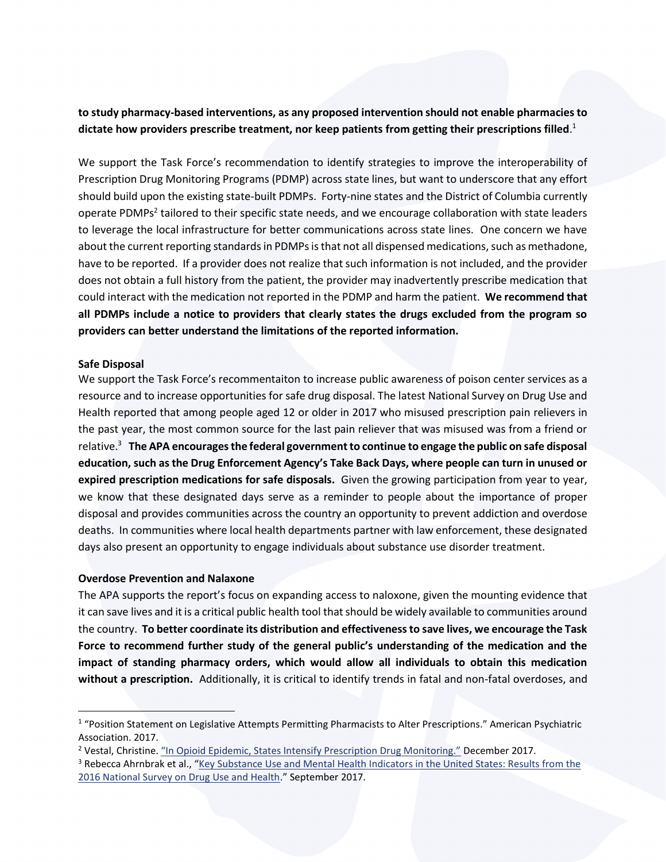# **to study pharmacy-based interventions, as any proposed intervention should not enable pharmacies to dictate how providers prescribe treatment, nor keep patients from getting their prescriptions filled**. 1

We support the Task Force's recommendation to identify strategies to improve the interoperability of Prescription Drug Monitoring Programs (PDMP) across state lines, but want to underscore that any effort should build upon the existing state-built PDMPs. Forty-nine states and the District of Columbia currently operate PDMPs<sup>2</sup> tailored to their specific state needs, and we encourage collaboration with state leaders to leverage the local infrastructure for better communications across state lines. One concern we have about the current reporting standards in PDMPs is that not all dispensed medications, such as methadone, have to be reported. If a provider does not realize that such information is not included, and the provider does not obtain a full history from the patient, the provider may inadvertently prescribe medication that could interact with the medication not reported in the PDMP and harm the patient. **We recommend that all PDMPs include a notice to providers that clearly states the drugs excluded from the program so providers can better understand the limitations of the reported information.** 

### **Safe Disposal**

We support the Task Force's recommentaiton to increase public awareness of poison center services as a resource and to increase opportunities for safe drug disposal. The latest National Survey on Drug Use and Health reported that among people aged 12 or older in 2017 who misused prescription pain relievers in the past year, the most common source for the last pain reliever that was misused was from a friend or relative.<sup>3</sup> **The APA encourages the federal government to continue to engage the public on safe disposal education, such as the Drug Enforcement Agency's Take Back Days, where people can turn in unused or expired prescription medications for safe disposals.** Given the growing participation from year to year, we know that these designated days serve as a reminder to people about the importance of proper disposal and provides communities across the country an opportunity to prevent addiction and overdose deaths. In communities where local health departments partner with law enforcement, these designated days also present an opportunity to engage individuals about substance use disorder treatment.

## **Overdose Prevention and Nalaxone**

The APA supports the report's focus on expanding access to naloxone, given the mounting evidence that it can save lives and it is a critical public health tool that should be widely available to communities around the country. **To better coordinate its distribution and effectiveness to save lives, we encourage the Task Force to recommend further study of the general public's understanding of the medication and the impact of standing pharmacy orders, which would allow all individuals to obtain this medication without a prescription.** Additionally, it is critical to identify trends in fatal and non-fatal overdoses, and

<sup>&</sup>lt;sup>1</sup> "Position Statement on Legislative Attempts Permitting Pharmacists to Alter Prescriptions." American Psychiatric Association. 2017.

<sup>2</sup> Vestal, Christine. ["In Opioid Epidemic, States Intensify Prescription Drug Monitoring."](http://www.pewtrusts.org/en/research-and-analysis/blogs/stateline/2017/12/29/in-opioid-epidemic-states-intensify-prescription-drug-monitoring) December 2017.

<sup>&</sup>lt;sup>3</sup> Rebecca Ahrnbrak et al., "Key Substance Use and Mental Health Indicators in the United States: Results from the [2016 National Survey on Drug Use and Health](https://www.samhsa.gov/data/sites/default/files/NSDUH-FFR1-2016/NSDUH-FFR1-2016.pdf)." September 2017.